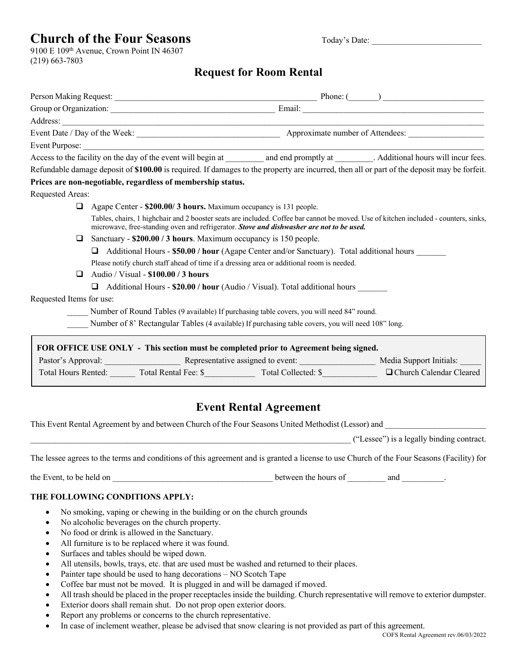# **Church of the Four Seasons** Today's Date:

9100 E 109th Avenue, Crown Point IN 46307 (219) 663-7803

## **Request for Room Rental**

| Person Making Request: Phone: (Campanization: Phone: Campanization: Phone: (Campanization: Phone: Campanization: Phone: Campanization: Phone: Campanization: Phone: Campanization: Phone: Campanization: Phone: Campanization:   |                                                                                                                                                                                                                                      |                                                                  |  |  |
|----------------------------------------------------------------------------------------------------------------------------------------------------------------------------------------------------------------------------------|--------------------------------------------------------------------------------------------------------------------------------------------------------------------------------------------------------------------------------------|------------------------------------------------------------------|--|--|
|                                                                                                                                                                                                                                  | Address: <u>Contract of the contract of the contract of the contract of the contract of the contract of the contract of the contract of the contract of the contract of the contract of the contract of the contract of the cont</u> |                                                                  |  |  |
|                                                                                                                                                                                                                                  |                                                                                                                                                                                                                                      |                                                                  |  |  |
|                                                                                                                                                                                                                                  |                                                                                                                                                                                                                                      |                                                                  |  |  |
|                                                                                                                                                                                                                                  |                                                                                                                                                                                                                                      |                                                                  |  |  |
|                                                                                                                                                                                                                                  | Refundable damage deposit of \$100.00 is required. If damages to the property are incurred, then all or part of the deposit may be forfeit.                                                                                          |                                                                  |  |  |
|                                                                                                                                                                                                                                  | Prices are non-negotiable, regardless of membership status.                                                                                                                                                                          |                                                                  |  |  |
| Requested Areas:                                                                                                                                                                                                                 |                                                                                                                                                                                                                                      |                                                                  |  |  |
|                                                                                                                                                                                                                                  | Agape Center - \$200.00/3 hours. Maximum occupancy is 131 people.                                                                                                                                                                    |                                                                  |  |  |
| Tables, chairs, 1 highchair and 2 booster seats are included. Coffee bar cannot be moved. Use of kitchen included - counters, sinks,<br>microwave, free-standing oven and refrigerator. Stove and dishwasher are not to be used. |                                                                                                                                                                                                                                      |                                                                  |  |  |
| □                                                                                                                                                                                                                                |                                                                                                                                                                                                                                      | Sanctuary - \$200.00 / 3 hours. Maximum occupancy is 150 people. |  |  |
|                                                                                                                                                                                                                                  | Additional Hours - \$50.00 / hour (Agape Center and/or Sanctuary). Total additional hours<br>◻                                                                                                                                       |                                                                  |  |  |
|                                                                                                                                                                                                                                  | Please notify church staff ahead of time if a dressing area or additional room is needed.                                                                                                                                            |                                                                  |  |  |
| ◻                                                                                                                                                                                                                                | Audio / Visual - \$100.00 / 3 hours                                                                                                                                                                                                  |                                                                  |  |  |
|                                                                                                                                                                                                                                  | Additional Hours - \$20.00 / hour (Audio / Visual). Total additional hours                                                                                                                                                           |                                                                  |  |  |
| Requested Items for use:                                                                                                                                                                                                         |                                                                                                                                                                                                                                      |                                                                  |  |  |
| Number of Round Tables (9 available) If purchasing table covers, you will need 84" round.                                                                                                                                        |                                                                                                                                                                                                                                      |                                                                  |  |  |
|                                                                                                                                                                                                                                  | Number of 8' Rectangular Tables (4 available) If purchasing table covers, you will need 108" long.                                                                                                                                   |                                                                  |  |  |
|                                                                                                                                                                                                                                  | FOR OFFICE USE ONLY - This section must be completed prior to Agreement being signed.                                                                                                                                                |                                                                  |  |  |
|                                                                                                                                                                                                                                  |                                                                                                                                                                                                                                      |                                                                  |  |  |
|                                                                                                                                                                                                                                  | Total Hours Rented: Total Rental Fee: \$ Total Collected: \$ DChurch Calendar Cleared                                                                                                                                                |                                                                  |  |  |

## **Event Rental Agreement**

This Event Rental Agreement by and between Church of the Four Seasons United Methodist (Lessor) and

 $("Lessee")$  is a legally binding contract.

The lessee agrees to the terms and conditions of this agreement and is granted a license to use Church of the Four Seasons (Facility) for

the Event, to be held on between the hours of and  $\blacksquare$ 

## **THE FOLLOWING CONDITIONS APPLY:**

- No smoking, vaping or chewing in the building or on the church grounds
- No alcoholic beverages on the church property.
- No food or drink is allowed in the Sanctuary.
- All furniture is to be replaced where it was found.
- Surfaces and tables should be wiped down.
- All utensils, bowls, trays, etc. that are used must be washed and returned to their places.
- Painter tape should be used to hang decorations NO Scotch Tape
- Coffee bar must not be moved. It is plugged in and will be damaged if moved.
- All trash should be placed in the proper receptacles inside the building. Church representative will remove to exterior dumpster.
- Exterior doors shall remain shut. Do not prop open exterior doors.
- Report any problems or concerns to the church representative.
- In case of inclement weather, please be advised that snow clearing is not provided as part of this agreement.